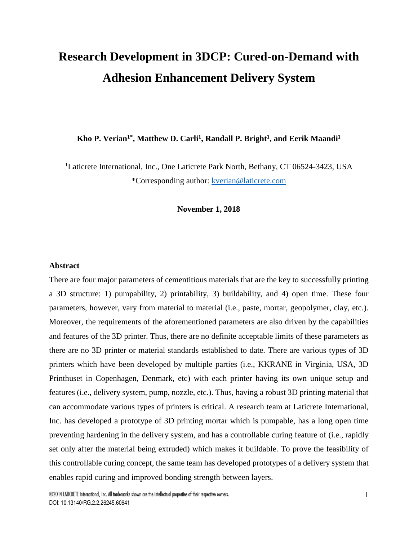# **Research Development in 3DCP: Cured-on-Demand with Adhesion Enhancement Delivery System**

**Kho P. Verian1\*, Matthew D. Carli<sup>1</sup> , Randall P. Bright<sup>1</sup> , and Eerik Maandi<sup>1</sup>**

<sup>1</sup>Laticrete International, Inc., One Laticrete Park North, Bethany, CT 06524-3423, USA \*Corresponding author: kverian@laticrete.com

**November 1, 2018** 

#### **Abstract**

There are four major parameters of cementitious materials that are the key to successfully printing a 3D structure: 1) pumpability, 2) printability, 3) buildability, and 4) open time. These four parameters, however, vary from material to material (i.e., paste, mortar, geopolymer, clay, etc.). Moreover, the requirements of the aforementioned parameters are also driven by the capabilities and features of the 3D printer. Thus, there are no definite acceptable limits of these parameters as there are no 3D printer or material standards established to date. There are various types of 3D printers which have been developed by multiple parties (i.e., KKRANE in Virginia, USA, 3D Printhuset in Copenhagen, Denmark, etc) with each printer having its own unique setup and features (i.e., delivery system, pump, nozzle, etc.). Thus, having a robust 3D printing material that can accommodate various types of printers is critical. A research team at Laticrete International, Inc. has developed a prototype of 3D printing mortar which is pumpable, has a long open time preventing hardening in the delivery system, and has a controllable curing feature of (i.e., rapidly set only after the material being extruded) which makes it buildable. To prove the feasibility of this controllable curing concept, the same team has developed prototypes of a delivery system that enables rapid curing and improved bonding strength between layers.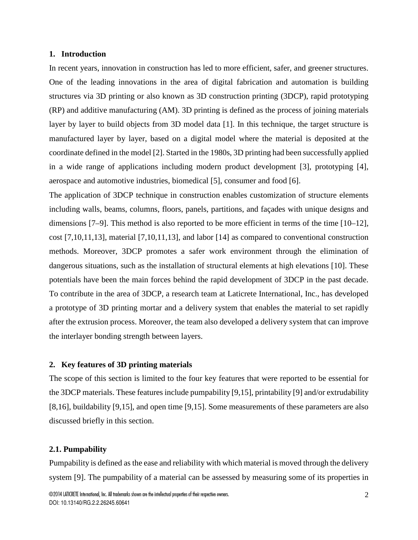# **1. Introduction**

In recent years, innovation in construction has led to more efficient, safer, and greener structures. One of the leading innovations in the area of digital fabrication and automation is building structures via 3D printing or also known as 3D construction printing (3DCP), rapid prototyping (RP) and additive manufacturing (AM). 3D printing is defined as the process of joining materials layer by layer to build objects from 3D model data [1]. In this technique, the target structure is manufactured layer by layer, based on a digital model where the material is deposited at the coordinate defined in the model [2]. Started in the 1980s, 3D printing had been successfully applied in a wide range of applications including modern product development [3], prototyping [4], aerospace and automotive industries, biomedical [5], consumer and food [6].

The application of 3DCP technique in construction enables customization of structure elements including walls, beams, columns, floors, panels, partitions, and façades with unique designs and dimensions [7–9]. This method is also reported to be more efficient in terms of the time [10–12], cost [7,10,11,13], material [7,10,11,13], and labor [14] as compared to conventional construction methods. Moreover, 3DCP promotes a safer work environment through the elimination of dangerous situations, such as the installation of structural elements at high elevations [10]. These potentials have been the main forces behind the rapid development of 3DCP in the past decade. To contribute in the area of 3DCP, a research team at Laticrete International, Inc., has developed a prototype of 3D printing mortar and a delivery system that enables the material to set rapidly after the extrusion process. Moreover, the team also developed a delivery system that can improve the interlayer bonding strength between layers.

#### **2. Key features of 3D printing materials**

The scope of this section is limited to the four key features that were reported to be essential for the 3DCP materials. These features include pumpability [9,15], printability [9] and/or extrudability [8,16], buildability [9,15], and open time [9,15]. Some measurements of these parameters are also discussed briefly in this section.

# **2.1. Pumpability**

Pumpability is defined as the ease and reliability with which material is moved through the delivery system [9]. The pumpability of a material can be assessed by measuring some of its properties in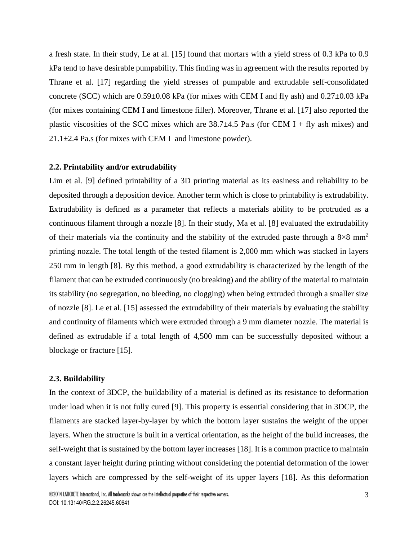a fresh state. In their study, Le at al. [15] found that mortars with a yield stress of 0.3 kPa to 0.9 kPa tend to have desirable pumpability. This finding was in agreement with the results reported by Thrane et al. [17] regarding the yield stresses of pumpable and extrudable self-consolidated concrete (SCC) which are 0.59±0.08 kPa (for mixes with CEM I and fly ash) and 0.27±0.03 kPa (for mixes containing CEM I and limestone filler). Moreover, Thrane et al. [17] also reported the plastic viscosities of the SCC mixes which are  $38.7\pm4.5$  Pa.s (for CEM I + fly ash mixes) and  $21.1 \pm 2.4$  Pa.s (for mixes with CEM I and limestone powder).

#### **2.2. Printability and/or extrudability**

Lim et al. [9] defined printability of a 3D printing material as its easiness and reliability to be deposited through a deposition device. Another term which is close to printability is extrudability. Extrudability is defined as a parameter that reflects a materials ability to be protruded as a continuous filament through a nozzle [8]. In their study, Ma et al. [8] evaluated the extrudability of their materials via the continuity and the stability of the extruded paste through a  $8\times8$  mm<sup>2</sup> printing nozzle. The total length of the tested filament is 2,000 mm which was stacked in layers 250 mm in length [8]. By this method, a good extrudability is characterized by the length of the filament that can be extruded continuously (no breaking) and the ability of the material to maintain its stability (no segregation, no bleeding, no clogging) when being extruded through a smaller size of nozzle [8]. Le et al. [15] assessed the extrudability of their materials by evaluating the stability and continuity of filaments which were extruded through a 9 mm diameter nozzle. The material is defined as extrudable if a total length of 4,500 mm can be successfully deposited without a blockage or fracture [15].

### **2.3. Buildability**

In the context of 3DCP, the buildability of a material is defined as its resistance to deformation under load when it is not fully cured [9]. This property is essential considering that in 3DCP, the filaments are stacked layer-by-layer by which the bottom layer sustains the weight of the upper layers. When the structure is built in a vertical orientation, as the height of the build increases, the self-weight that is sustained by the bottom layer increases [18]. It is a common practice to maintain a constant layer height during printing without considering the potential deformation of the lower layers which are compressed by the self-weight of its upper layers [18]. As this deformation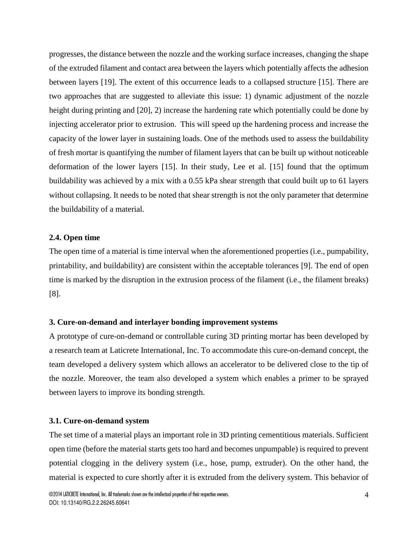progresses, the distance between the nozzle and the working surface increases, changing the shape of the extruded filament and contact area between the layers which potentially affects the adhesion between layers [19]. The extent of this occurrence leads to a collapsed structure [15]. There are two approaches that are suggested to alleviate this issue: 1) dynamic adjustment of the nozzle height during printing and [20], 2) increase the hardening rate which potentially could be done by injecting accelerator prior to extrusion. This will speed up the hardening process and increase the capacity of the lower layer in sustaining loads. One of the methods used to assess the buildability of fresh mortar is quantifying the number of filament layers that can be built up without noticeable deformation of the lower layers [15]. In their study, Lee et al. [15] found that the optimum buildability was achieved by a mix with a 0.55 kPa shear strength that could built up to 61 layers without collapsing. It needs to be noted that shear strength is not the only parameter that determine the buildability of a material.

# **2.4. Open time**

The open time of a material is time interval when the aforementioned properties (i.e., pumpability, printability, and buildability) are consistent within the acceptable tolerances [9]. The end of open time is marked by the disruption in the extrusion process of the filament (i.e., the filament breaks) [8].

# **3. Cure-on-demand and interlayer bonding improvement systems**

A prototype of cure-on-demand or controllable curing 3D printing mortar has been developed by a research team at Laticrete International, Inc. To accommodate this cure-on-demand concept, the team developed a delivery system which allows an accelerator to be delivered close to the tip of the nozzle. Moreover, the team also developed a system which enables a primer to be sprayed between layers to improve its bonding strength.

#### **3.1. Cure-on-demand system**

The set time of a material plays an important role in 3D printing cementitious materials. Sufficient open time (before the material starts gets too hard and becomes unpumpable) is required to prevent potential clogging in the delivery system (i.e., hose, pump, extruder). On the other hand, the material is expected to cure shortly after it is extruded from the delivery system. This behavior of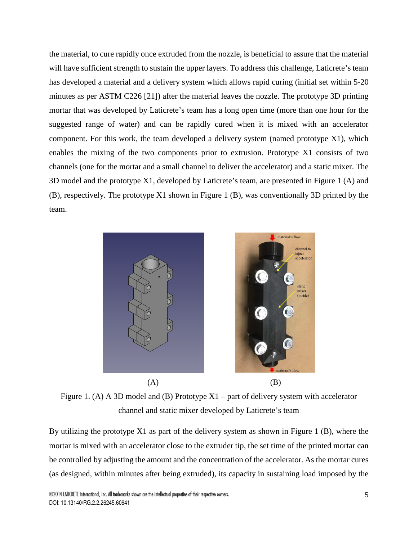the material, to cure rapidly once extruded from the nozzle, is beneficial to assure that the material will have sufficient strength to sustain the upper layers. To address this challenge, Laticrete's team has developed a material and a delivery system which allows rapid curing (initial set within 5-20 minutes as per ASTM C226 [21]) after the material leaves the nozzle. The prototype 3D printing mortar that was developed by Laticrete's team has a long open time (more than one hour for the suggested range of water) and can be rapidly cured when it is mixed with an accelerator component. For this work, the team developed a delivery system (named prototype X1), which enables the mixing of the two components prior to extrusion. Prototype X1 consists of two channels (one for the mortar and a small channel to deliver the accelerator) and a static mixer. The 3D model and the prototype X1, developed by Laticrete's team, are presented in Figure 1 (A) and (B), respectively. The prototype X1 shown in Figure 1 (B), was conventionally 3D printed by the team.



Figure 1. (A) A 3D model and (B) Prototype  $X1$  – part of delivery system with accelerator channel and static mixer developed by Laticrete's team

By utilizing the prototype X1 as part of the delivery system as shown in Figure 1 (B), where the mortar is mixed with an accelerator close to the extruder tip, the set time of the printed mortar can be controlled by adjusting the amount and the concentration of the accelerator. As the mortar cures (as designed, within minutes after being extruded), its capacity in sustaining load imposed by the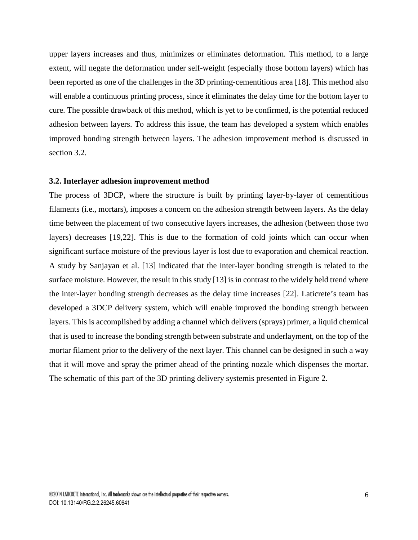upper layers increases and thus, minimizes or eliminates deformation. This method, to a large extent, will negate the deformation under self-weight (especially those bottom layers) which has been reported as one of the challenges in the 3D printing-cementitious area [18]. This method also will enable a continuous printing process, since it eliminates the delay time for the bottom layer to cure. The possible drawback of this method, which is yet to be confirmed, is the potential reduced adhesion between layers. To address this issue, the team has developed a system which enables improved bonding strength between layers. The adhesion improvement method is discussed in section 3.2.

#### **3.2. Interlayer adhesion improvement method**

The process of 3DCP, where the structure is built by printing layer-by-layer of cementitious filaments (i.e., mortars), imposes a concern on the adhesion strength between layers. As the delay time between the placement of two consecutive layers increases, the adhesion (between those two layers) decreases [19,22]. This is due to the formation of cold joints which can occur when significant surface moisture of the previous layer is lost due to evaporation and chemical reaction. A study by Sanjayan et al. [13] indicated that the inter-layer bonding strength is related to the surface moisture. However, the result in this study [13] is in contrast to the widely held trend where the inter-layer bonding strength decreases as the delay time increases [22]. Laticrete's team has developed a 3DCP delivery system, which will enable improved the bonding strength between layers. This is accomplished by adding a channel which delivers (sprays) primer, a liquid chemical that is used to increase the bonding strength between substrate and underlayment, on the top of the mortar filament prior to the delivery of the next layer. This channel can be designed in such a way that it will move and spray the primer ahead of the printing nozzle which dispenses the mortar. The schematic of this part of the 3D printing delivery systemis presented in Figure 2.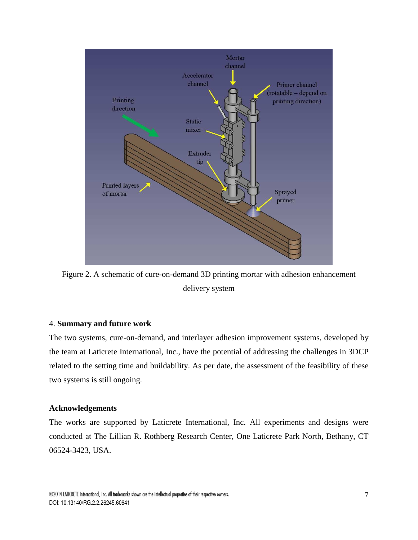

Figure 2. A schematic of cure-on-demand 3D printing mortar with adhesion enhancement delivery system

# 4. **Summary and future work**

The two systems, cure-on-demand, and interlayer adhesion improvement systems, developed by the team at Laticrete International, Inc., have the potential of addressing the challenges in 3DCP related to the setting time and buildability. As per date, the assessment of the feasibility of these two systems is still ongoing.

#### **Acknowledgements**

The works are supported by Laticrete International, Inc. All experiments and designs were conducted at The Lillian R. Rothberg Research Center, One Laticrete Park North, Bethany, CT 06524-3423, USA.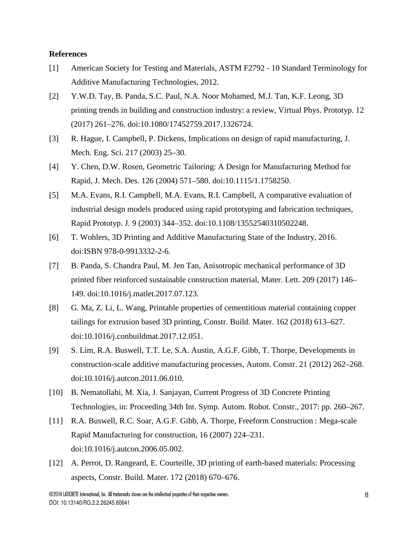# **References**

- [1] American Society for Testing and Materials, ASTM F2792 10 Standard Terminology for Additive Manufacturing Technologies, 2012.
- [2] Y.W.D. Tay, B. Panda, S.C. Paul, N.A. Noor Mohamed, M.J. Tan, K.F. Leong, 3D printing trends in building and construction industry: a review, Virtual Phys. Prototyp. 12 (2017) 261–276. doi:10.1080/17452759.2017.1326724.
- [3] R. Hague, I. Campbell, P. Dickens, Implications on design of rapid manufacturing, J. Mech. Eng. Sci. 217 (2003) 25–30.
- [4] Y. Chen, D.W. Rosen, Geometric Tailoring: A Design for Manufacturing Method for Rapid, J. Mech. Des. 126 (2004) 571–580. doi:10.1115/1.1758250.
- [5] M.A. Evans, R.I. Campbell, M.A. Evans, R.I. Campbell, A comparative evaluation of industrial design models produced using rapid prototyping and fabrication techniques, Rapid Prototyp. J. 9 (2003) 344–352. doi:10.1108/13552540310502248.
- [6] T. Wohlers, 3D Printing and Additive Manufacturing State of the Industry, 2016. doi:ISBN 978-0-9913332-2-6.
- [7] B. Panda, S. Chandra Paul, M. Jen Tan, Anisotropic mechanical performance of 3D printed fiber reinforced sustainable construction material, Mater. Lett. 209 (2017) 146– 149. doi:10.1016/j.matlet.2017.07.123.
- [8] G. Ma, Z. Li, L. Wang, Printable properties of cementitious material containing copper tailings for extrusion based 3D printing, Constr. Build. Mater. 162 (2018) 613–627. doi:10.1016/j.conbuildmat.2017.12.051.
- [9] S. Lim, R.A. Buswell, T.T. Le, S.A. Austin, A.G.F. Gibb, T. Thorpe, Developments in construction-scale additive manufacturing processes, Autom. Constr. 21 (2012) 262–268. doi:10.1016/j.autcon.2011.06.010.
- [10] B. Nematollahi, M. Xia, J. Sanjayan, Current Progress of 3D Concrete Printing Technologies, in: Proceeding 34th Int. Symp. Autom. Robot. Constr., 2017: pp. 260–267.
- [11] R.A. Buswell, R.C. Soar, A.G.F. Gibb, A. Thorpe, Freeform Construction : Mega-scale Rapid Manufacturing for construction, 16 (2007) 224–231. doi:10.1016/j.autcon.2006.05.002.
- [12] A. Perrot, D. Rangeard, E. Courteille, 3D printing of earth-based materials: Processing aspects, Constr. Build. Mater. 172 (2018) 670–676.